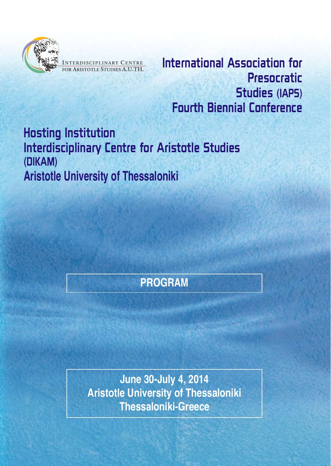

NTERDISCIPLINARY CENTRE

International Association for Presocratic **Studies (IAPS) Fourth Biennial Conference** 

**Hosting Institution Interdisciplinary Centre for Aristotle Studies** (DIKAM) **Aristotle University of Thessaloniki** 

# **PROGRAM**

**June 30-July 4, 2014 Aristotle University of Thessaloniki Thessaloniki-Greece**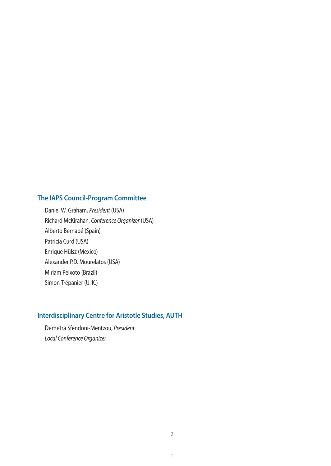### **The IAPS Council-Program Committee**

Daniel W. Graham, President (USA) Richard McKirahan, Conference Organizer (USA) Alberto Bernabé (Spain) Patricia Curd (USA) Enrique Hülsz (Mexico) Alexander P.D. Mourelatos (USA) Miriam Peixoto (Brazil) Simon Trépanier (U. K.)

### **Interdisciplinary Centre for Aristotle Studies, AUTH**

Demetra Sfendoni-Mentzou, President Local Conference Organizer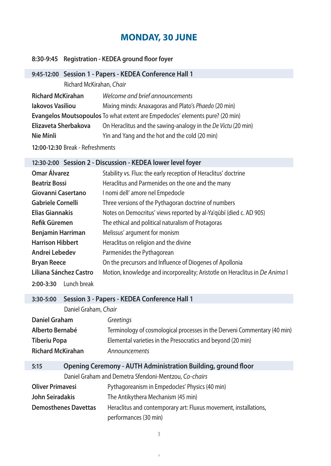# **MONDAY, 30 JUNE**

#### **8:30-9:45 Registration - KEDEA ground floor foyer**

### **9:45-12:00 Session 1 - Papers - KEDEA Conference Hall 1**

Richard McKirahan, Chair

| <b>Richard McKirahan</b> | Welcome and brief announcements                                               |
|--------------------------|-------------------------------------------------------------------------------|
| lakovos Vasiliou         | Mixing minds: Anaxagoras and Plato's Phaedo (20 min)                          |
|                          | Evangelos Moutsopoulos To what extent are Empedocles' elements pure? (20 min) |
| Elizaveta Sherbakova     | On Heraclitus and the sawing-analogy in the De Victu (20 min)                 |
| Nie Minli                | Yin and Yang and the hot and the cold (20 min)                                |
|                          |                                                                               |

**12:00-12:30** Break - Refreshments

### **12:30-2:00 Session 2 - Discussion - KEDEA lower level foyer**

| <b>Omar Álvarez</b>        | Stability vs. Flux: the early reception of Heraclitus' doctrine             |
|----------------------------|-----------------------------------------------------------------------------|
| <b>Beatriz Bossi</b>       | Heraclitus and Parmenides on the one and the many                           |
| Giovanni Casertano         | I nomi dell' amore nel Empedocle                                            |
| <b>Gabriele Cornelli</b>   | Three versions of the Pythagoran doctrine of numbers                        |
| <b>Elias Giannakis</b>     | Notes on Democritus' views reported by al-Ya'qūbī (died c. AD 905)          |
| Refik Güremen              | The ethical and political naturalism of Protagoras                          |
| <b>Benjamin Harriman</b>   | Melissus' argument for monism                                               |
| <b>Harrison Hibbert</b>    | Heraclitus on religion and the divine                                       |
| Andrei Lebedev             | Parmenides the Pythagorean                                                  |
| <b>Bryan Reece</b>         | On the precursors and Influence of Diogenes of Apollonia                    |
| Liliana Sánchez Castro     | Motion, knowledge and incorporeality; Aristotle on Heraclitus in De Anima I |
| Lunch break<br>$2:00-3:30$ |                                                                             |

#### **3:30-5:00 Session 3 - Papers - KEDEA Conference Hall 1**

| Daniel Graham            | <b>Greetings</b>                                                         |
|--------------------------|--------------------------------------------------------------------------|
| Alberto Bernabé          | Terminology of cosmological processes in the Derveni Commentary (40 min) |
| <b>Tiberiu Popa</b>      | Elemental varieties in the Presocratics and beyond (20 min)              |
| <b>Richard McKirahan</b> | Announcements                                                            |

| 5:15                    | <b>Opening Ceremony - AUTH Administration Building, ground floor</b> |                                                                  |
|-------------------------|----------------------------------------------------------------------|------------------------------------------------------------------|
|                         |                                                                      | Daniel Graham and Demetra Sfendoni-Mentzou, Co-chairs            |
| <b>Oliver Primavesi</b> |                                                                      | Pythagoreanism in Empedocles' Physics (40 min)                   |
| John Seiradakis         |                                                                      | The Antikythera Mechanism (45 min)                               |
|                         | <b>Demosthenes Davettas</b>                                          | Heraclitus and contemporary art: Fluxus movement, installations, |
|                         |                                                                      | performances (30 min)                                            |

3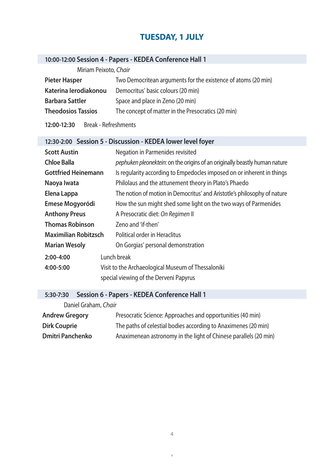### **TUESDAY, 1 JULY**

### **10:00-12:00 Session 4 - Papers - KEDEA Conference Hall 1**

Miriam Peixoto, Chair

| <b>Pieter Hasper</b>      | Two Democritean arguments for the existence of atoms (20 min) |
|---------------------------|---------------------------------------------------------------|
| Katerina lerodiakonou     | Democritus' basic colours (20 min)                            |
| <b>Barbara Sattler</b>    | Space and place in Zeno (20 min)                              |
| <b>Theodosios Tassios</b> | The concept of matter in the Presocratics (20 min)            |
|                           |                                                               |

**12:00-12:30** Break - Refreshments

## **12:30-2:00 Session 5 - Discussion - KEDEA lower level foyer**

| <b>Scott Austin</b>         | Negation in Parmenides revisited                                           |
|-----------------------------|----------------------------------------------------------------------------|
| <b>Chloe Balla</b>          | pephuken pleonektein: on the origins of an originally beastly human nature |
| <b>Gottfried Heinemann</b>  | Is regularity according to Empedocles imposed on or inherent in things     |
| Naoya Iwata                 | Philolaus and the attunement theory in Plato's Phaedo                      |
| Elena Lappa                 | The notion of motion in Democritus' and Aristotle's philosophy of nature   |
| Emese Mogyoródi             | How the sun might shed some light on the two ways of Parmenides            |
| <b>Anthony Preus</b>        | A Presocratic diet: On Regimen II                                          |
| <b>Thomas Robinson</b>      | Zeno and 'if-then'                                                         |
| <b>Maximilian Robitzsch</b> | Political order in Heraclitus                                              |
| <b>Marian Wesoly</b>        | On Gorgias' personal demonstration                                         |
| $2:00-4:00$                 | Lunch break                                                                |
| 4:00-5:00                   | Visit to the Archaeological Museum of Thessaloniki                         |
|                             | special viewing of the Derveni Papyrus                                     |

### **5:30-7:30 Session 6 - Papers - KEDEA Conference Hall 1**

Daniel Graham, Chair

| <b>Andrew Gregory</b>   | Presocratic Science: Approaches and opportunities (40 min)       |
|-------------------------|------------------------------------------------------------------|
| <b>Dirk Couprie</b>     | The paths of celestial bodies according to Anaximenes (20 min)   |
| <b>Dmitri Panchenko</b> | Anaximenean astronomy in the light of Chinese parallels (20 min) |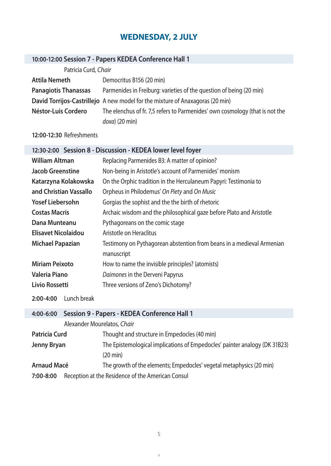# **WEDNESDAY, 2 JULY**

## **10:00-12:00 Session 7 - Papers KEDEA Conference Hall 1**

| Patricia Curd, Chair        |                                                                               |
|-----------------------------|-------------------------------------------------------------------------------|
| <b>Attila Nemeth</b>        | Democritus B156 (20 min)                                                      |
| <b>Panagiotis Thanassas</b> | Parmenides in Freiburg: varieties of the question of being (20 min)           |
|                             | David Torrijos-Castrillejo A new model for the mixture of Anaxagoras (20 min) |
| Néstor-Luis Cordero         | The elenchus of fr. 7,5 refers to Parmenides' own cosmology (that is not the  |
|                             | $doxa$ ) (20 min)                                                             |

### **12:00-12:30** Refreshments

| 12:30-2:00 Session 8 - Discussion - KEDEA lower level foyer |                                                                       |  |
|-------------------------------------------------------------|-----------------------------------------------------------------------|--|
| <b>William Altman</b>                                       | Replacing Parmenides B3: A matter of opinion?                         |  |
| <b>Jacob Greenstine</b>                                     | Non-being in Aristotle's account of Parmenides' monism                |  |
| Katarzyna Kolakowska                                        | On the Orphic tradition in the Herculaneum Papyri: Testimonia to      |  |
| and Christian Vassallo                                      | Orpheus in Philodemus' On Piety and On Music                          |  |
| <b>Yosef Liebersohn</b>                                     | Gorgias the sophist and the the birth of rhetoric                     |  |
| <b>Costas Macris</b>                                        | Archaic wisdom and the philosophical gaze before Plato and Aristotle  |  |
| Dana Munteanu                                               | Pythagoreans on the comic stage                                       |  |
| Elisavet Nicolaidou                                         | Aristotle on Heraclitus                                               |  |
| <b>Michael Papazian</b>                                     | Testimony on Pythagorean abstention from beans in a medieval Armenian |  |
|                                                             | manuscript                                                            |  |
| <b>Miriam Peixoto</b>                                       | How to name the invisible principles? (atomists)                      |  |
| <b>Valeria Piano</b>                                        | Daimones in the Derveni Papyrus                                       |  |
| <b>Livio Rossetti</b>                                       | Three versions of Zeno's Dichotomy?                                   |  |
| Lunch break<br>$2:00 - 4:00$                                |                                                                       |  |

| 4:00-6:00            | Session 9 - Papers - KEDEA Conference Hall 1      |                                                                            |
|----------------------|---------------------------------------------------|----------------------------------------------------------------------------|
|                      | Alexander Mourelatos, Chair                       |                                                                            |
| <b>Patricia Curd</b> |                                                   | Thought and structure in Empedocles (40 min)                               |
| <b>Jenny Bryan</b>   |                                                   | The Epistemological implications of Empedocles' painter analogy (DK 31B23) |
|                      |                                                   | $(20 \text{ min})$                                                         |
| <b>Arnaud Macé</b>   |                                                   | The growth of the elements; Empedocles' vegetal metaphysics (20 min)       |
| 7:00-8:00            | Reception at the Residence of the American Consul |                                                                            |
|                      |                                                   |                                                                            |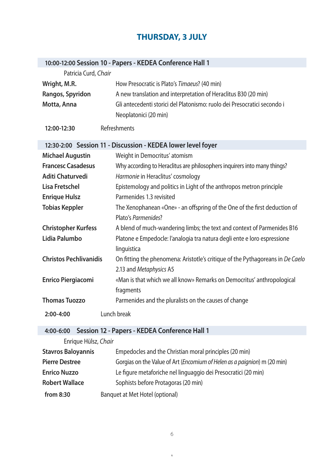## **THURSDAY, 3 JULY**

| 10:00-12:00 Session 10 - Papers - KEDEA Conference Hall 1 |                                                                                                           |  |
|-----------------------------------------------------------|-----------------------------------------------------------------------------------------------------------|--|
| Patricia Curd, Chair                                      |                                                                                                           |  |
| Wright, M.R.                                              | How Presocratic is Plato's Timaeus? (40 min)                                                              |  |
| Rangos, Spyridon                                          | A new translation and interpretation of Heraclitus B30 (20 min)                                           |  |
| Motta, Anna                                               | Gli antecedenti storici del Platonismo: ruolo dei Presocratici secondo i                                  |  |
|                                                           | Neoplatonici (20 min)                                                                                     |  |
| 12:00-12:30                                               | Refreshments                                                                                              |  |
|                                                           | 12:30-2:00 Session 11 - Discussion - KEDEA lower level foyer                                              |  |
| <b>Michael Augustin</b>                                   | Weight in Democritus' atomism                                                                             |  |
| <b>Francesc Casadesus</b>                                 | Why according to Heraclitus are philosophers inquirers into many things?                                  |  |
| Aditi Chaturvedi                                          | Harmonie in Heraclitus' cosmology                                                                         |  |
| <b>Lisa Fretschel</b>                                     | Epistemology and politics in Light of the anthropos metron principle                                      |  |
| <b>Enrique Hulsz</b>                                      | Parmenides 1.3 revisited                                                                                  |  |
| <b>Tobias Keppler</b>                                     | The Xenophanean «One» - an offspring of the One of the first deduction of                                 |  |
|                                                           | Plato's Parmenides?                                                                                       |  |
| <b>Christopher Kurfess</b>                                | A blend of much-wandering limbs; the text and context of Parmenides B16                                   |  |
| Lidia Palumbo                                             | Platone e Empedocle: l'analogia tra natura degli ente e loro espressione                                  |  |
|                                                           | linguistica                                                                                               |  |
| <b>Christos Pechlivanidis</b>                             | On fitting the phenomena: Aristotle's critique of the Pythagoreans in De Caelo<br>2.13 and Metaphysics A5 |  |
| <b>Enrico Piergiacomi</b>                                 | «Man is that which we all know» Remarks on Democritus' anthropological                                    |  |
|                                                           | fragments                                                                                                 |  |
| <b>Thomas Tuozzo</b>                                      | Parmenides and the pluralists on the causes of change                                                     |  |
| $2:00 - 4:00$                                             | Lunch break                                                                                               |  |
| 4:00-6:00                                                 | Session 12 - Papers - KEDEA Conference Hall 1                                                             |  |
| Enrique Hülsz, Chair                                      |                                                                                                           |  |
| <b>Stavros Baloyannis</b>                                 | Empedocles and the Christian moral principles (20 min)                                                    |  |
|                                                           |                                                                                                           |  |

Pierre Destree **Gorgias on the Value of Art (Encomium of Helen as a paignion)** m (20 min) **Enrico Nuzzo** Le figure metaforiche nel linguaggio dei Presocratici (20 min)

**Robert Wallace** Sophists before Protagoras (20 min)

**from 8:30** Banquet at Met Hotel (optional)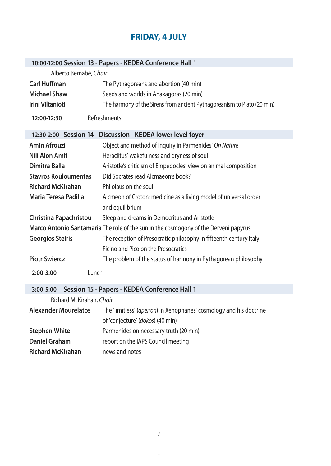# **FRIDAY, 4 JULY**

| 10:00-12:00 Session 13 - Papers - KEDEA Conference Hall 1                            |                                                                                                         |
|--------------------------------------------------------------------------------------|---------------------------------------------------------------------------------------------------------|
| Alberto Bernabé, Chair                                                               |                                                                                                         |
| <b>Carl Huffman</b>                                                                  | The Pythagoreans and abortion (40 min)                                                                  |
| <b>Michael Shaw</b>                                                                  | Seeds and worlds in Anaxagoras (20 min)                                                                 |
| <b>Irini Viltanioti</b>                                                              | The harmony of the Sirens from ancient Pythagoreanism to Plato (20 min)                                 |
| 12:00-12:30                                                                          | Refreshments                                                                                            |
| 12:30-2:00 Session 14 - Discussion - KEDEA lower level foyer                         |                                                                                                         |
| <b>Amin Afrouzi</b>                                                                  | Object and method of inquiry in Parmenides' On Nature                                                   |
| <b>Nili Alon Amit</b>                                                                | Heraclitus' wakefulness and dryness of soul                                                             |
| Dimitra Balla                                                                        | Aristotle's criticism of Empedocles' view on animal composition                                         |
| <b>Stavros Kouloumentas</b>                                                          | Did Socrates read Alcmaeon's book?                                                                      |
| <b>Richard McKirahan</b>                                                             | Philolaus on the soul                                                                                   |
| Maria Teresa Padilla                                                                 | Alcmeon of Croton: medicine as a living model of universal order<br>and equilibrium                     |
| <b>Christina Papachristou</b>                                                        | Sleep and dreams in Democritus and Aristotle                                                            |
| Marco Antonio Santamaria The role of the sun in the cosmogony of the Derveni papyrus |                                                                                                         |
| <b>Georgios Steiris</b>                                                              | The reception of Presocratic philosophy in fifteenth century Italy:                                     |
|                                                                                      | Ficino and Pico on the Presocratics                                                                     |
| <b>Piotr Swiercz</b>                                                                 | The problem of the status of harmony in Pythagorean philosophy                                          |
| Lunch<br>2:00-3:00                                                                   |                                                                                                         |
| Session 15 - Papers - KEDEA Conference Hall 1<br>3:00-5:00                           |                                                                                                         |
| Richard McKirahan, Chair                                                             |                                                                                                         |
| <b>Alexander Mourelatos</b>                                                          | The 'limitless' (apeiron) in Xenophanes' cosmology and his doctrine<br>of 'conjecture' (dokos) (40 min) |

Stephen White **Parmenides on necessary truth (20 min) Daniel Graham** report on the IAPS Council meeting

**Richard McKirahan** news and notes